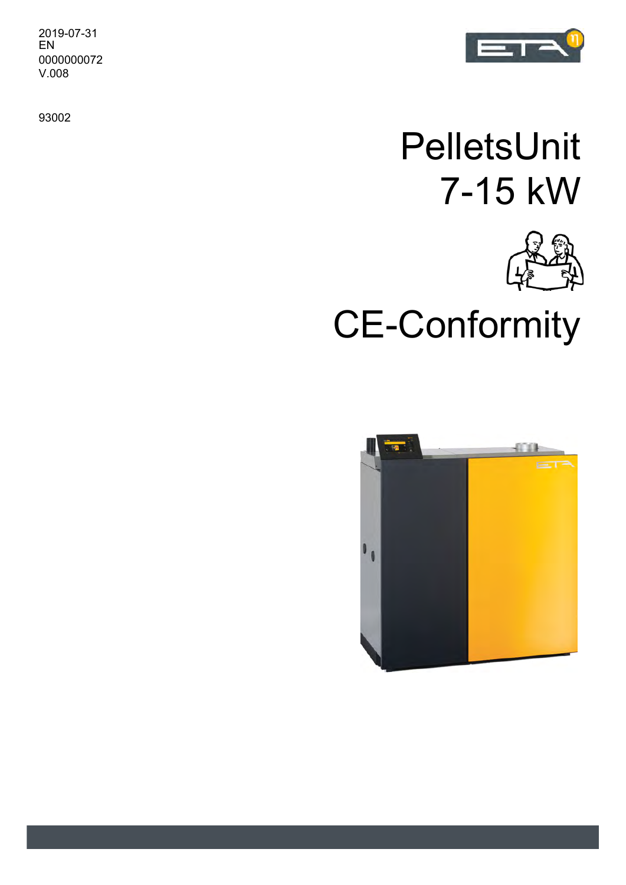2019-07-31 EN 0000000072 V.008

93002



## PelletsUnit 7-15 kW



CE-Conformity